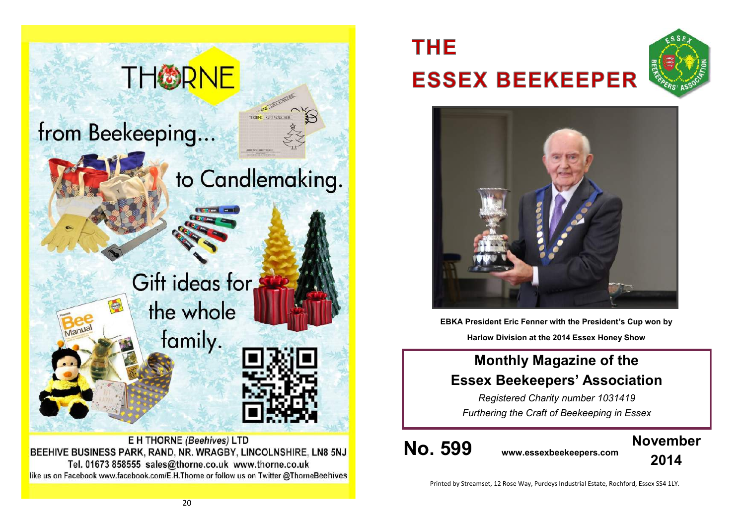

BEEHIVE BUSINESS PARK, RAND, NR. WRAGBY, LINCOLNSHIRE, LN8 5NJ Tel. 01673 858555 sales@thorne.co.uk www.thorne.co.uk like us on Facebook www.facebook.com/E.H.Thorne or follow us on Twitter @ThorneBeehives

# **THE ESSEX BEEKEEPER**





**EBKA President Eric Fenner with the President's Cup won by Harlow Division at the 2014 Essex Honey Show**

### **Monthly Magazine of the Essex Beekeepers' Association**

*Registered Charity number 1031419 Furthering the Craft of Beekeeping in Essex*

**No. 599 www.essexbeekeepers.com**



Printed by Streamset, 12 Rose Way, Purdeys Industrial Estate, Rochford, Essex SS4 1LY.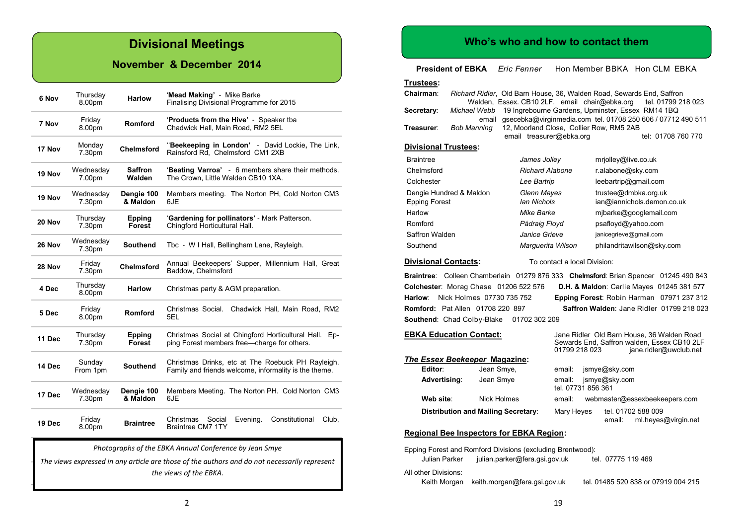### **Divisional Meetings**

#### **November & December 2014**

| 6 Nov  | Thursday<br>8.00pm  | <b>Harlow</b>           | 'Mead Making' - Mike Barke<br>Finalising Divisional Programme for 2015                                     |
|--------|---------------------|-------------------------|------------------------------------------------------------------------------------------------------------|
| 7 Nov  | Friday<br>8.00pm    | Romford                 | 'Products from the Hive' - Speaker tba<br>Chadwick Hall, Main Road, RM2 5EL                                |
| 17 Nov | Monday<br>7.30pm    | <b>Chelmsford</b>       | "Beekeeping in London' - David Lockie, The Link,<br>Rainsford Rd, Chelmsford CM1 2XB                       |
| 19 Nov | Wednesday<br>7.00pm | Saffron<br>Walden       | 'Beating Varroa' - 6 members share their methods.<br>The Crown, Little Walden CB10 1XA.                    |
| 19 Nov | Wednesday<br>7.30pm | Dengie 100<br>& Maldon  | Members meeting. The Norton PH, Cold Norton CM3<br>6JE                                                     |
| 20 Nov | Thursday<br>7.30pm  | <b>Epping</b><br>Forest | 'Gardening for pollinators' - Mark Patterson.<br>Chingford Horticultural Hall.                             |
| 26 Nov | Wednesday<br>7.30pm | <b>Southend</b>         | Tbc - W I Hall, Bellingham Lane, Rayleigh.                                                                 |
| 28 Nov | Friday<br>7.30pm    | <b>Chelmsford</b>       | Annual Beekeepers' Supper, Millennium Hall, Great<br>Baddow, Chelmsford                                    |
| 4 Dec  | Thursday<br>8.00pm  | <b>Harlow</b>           | Christmas party & AGM preparation.                                                                         |
| 5 Dec  | Friday<br>8.00pm    | Romford                 | Christmas Social.<br>Chadwick Hall, Main Road, RM2<br>5EL                                                  |
| 11 Dec | Thursday<br>7.30pm  | Epping<br><b>Forest</b> | Christmas Social at Chingford Horticultural Hall. Ep-<br>ping Forest members free—charge for others.       |
| 14 Dec | Sunday<br>From 1pm  | <b>Southend</b>         | Christmas Drinks, etc at The Roebuck PH Rayleigh.<br>Family and friends welcome, informality is the theme. |
| 17 Dec | Wednesday<br>7.30pm | Dengie 100<br>& Maldon  | Members Meeting. The Norton PH. Cold Norton CM3<br>6JE                                                     |
| 19 Dec | Friday<br>8.00pm    | <b>Braintree</b>        | Constitutional<br>Christmas<br>Social<br>Evening.<br>Club.<br><b>Braintree CM7 1TY</b>                     |

*Photographs of the EBKA Annual Conference by Jean Smye*

*The views expressed in any article are those of the authors and do not necessarily represent the views of the EBKA.*

#### **Who's who and how to contact them**

**President of EBKA** *Eric Fenner* Hon Member BBKA Hon CLM EBKA

| Trustees:                   |                                                            |                                                                      |                              |                                                                                                                     |
|-----------------------------|------------------------------------------------------------|----------------------------------------------------------------------|------------------------------|---------------------------------------------------------------------------------------------------------------------|
| Chairman:                   |                                                            | Walden, Essex. CB10 2LF. email chair@ebka.org                        |                              | Richard Ridler, Old Barn House, 36, Walden Road, Sewards End, Saffron<br>tel. 01799 218 023                         |
| Secretary:                  | Michael Webb<br>email                                      |                                                                      |                              | 19 Ingrebourne Gardens, Upminster, Essex RM14 1BQ<br>gsecebka@virginmedia.com tel. 01708 250 606 / 07712 490 511    |
| Treasurer:                  | Bob Manning                                                | 12, Moorland Close, Collier Row, RM5 2AB<br>email treasurer@ebka.org |                              | tel: 01708 760 770                                                                                                  |
| <b>Divisional Trustees:</b> |                                                            |                                                                      |                              |                                                                                                                     |
| <b>Braintree</b>            |                                                            | James Jolley                                                         |                              | mrjolley@live.co.uk                                                                                                 |
| Chelmsford                  |                                                            | <b>Richard Alabone</b>                                               |                              | r.alabone@sky.com                                                                                                   |
| Colchester                  |                                                            | Lee Bartrip                                                          |                              | leebartrip@gmail.com                                                                                                |
| Dengie Hundred & Maldon     |                                                            | Glenn Mayes                                                          |                              | trustee@dmbka.org.uk                                                                                                |
| <b>Epping Forest</b>        |                                                            | <b>Ian Nichols</b>                                                   |                              | ian@iannichols.demon.co.uk                                                                                          |
| Harlow                      |                                                            | Mike Barke                                                           |                              | mjbarke@googlemail.com                                                                                              |
| Romford                     |                                                            | Pádraig Floyd                                                        |                              | psafloyd@yahoo.com                                                                                                  |
| Saffron Walden              |                                                            | Janice Grieve                                                        |                              | janicegrieve@gmail.com                                                                                              |
| Southend                    |                                                            | Marquerita Wilson                                                    |                              | philandritawilson@sky.com                                                                                           |
| <b>Divisional Contacts:</b> |                                                            |                                                                      | To contact a local Division: |                                                                                                                     |
|                             |                                                            |                                                                      |                              | <b>Braintree:</b> Colleen Chamberlain 01279 876 333 Chelmsford: Brian Spencer 01245 490 843                         |
|                             | Colchester: Morag Chase 01206 522 576                      |                                                                      |                              | D.H. & Maldon: Carlie Mayes 01245 381 577                                                                           |
| Harlow:                     | Nick Holmes 07730 735 752                                  |                                                                      |                              | Epping Forest: Robin Harman 07971 237 312                                                                           |
|                             | <b>Romford: Pat Allen 01708 220 897</b>                    |                                                                      |                              | Saffron Walden: Jane Ridler 01799 218 023                                                                           |
|                             | Southend: Chad Colby-Blake                                 | 01702 302 209                                                        |                              |                                                                                                                     |
|                             | <b>EBKA Education Contact:</b>                             |                                                                      | 01799 218 023                | Jane Ridler Old Barn House, 36 Walden Road<br>Sewards End, Saffron walden, Essex CB10 2LF<br>jane.ridler@uwclub.net |
|                             | <b>The Essex Beekeeper Magazine:</b>                       |                                                                      |                              |                                                                                                                     |
| Editor:                     | Jean Smye,                                                 |                                                                      | email:                       | jsmye@sky.com                                                                                                       |
| Advertising:                | Jean Smye                                                  |                                                                      | email:<br>tel. 07731 856 361 | jsmye@sky.com                                                                                                       |
| Web site:                   | Nick Holmes                                                |                                                                      | email:                       | webmaster@essexbeekeepers.com                                                                                       |
|                             | <b>Distribution and Mailing Secretary:</b>                 |                                                                      | Mary Heyes                   | tel. 01702 588 009<br>email:<br>ml.heyes@virgin.net                                                                 |
|                             | <b>Regional Bee Inspectors for EBKA Region:</b>            |                                                                      |                              |                                                                                                                     |
| Julian Parker               | Epping Forest and Romford Divisions (excluding Brentwood): | julian.parker@fera.gsi.gov.uk                                        |                              | tel. 07775 119 469                                                                                                  |
| All other Divisions:        |                                                            |                                                                      |                              |                                                                                                                     |

19

Keith Morgan keith.morgan@fera.gsi.gov.uk tel. 01485 520 838 or 07919 004 215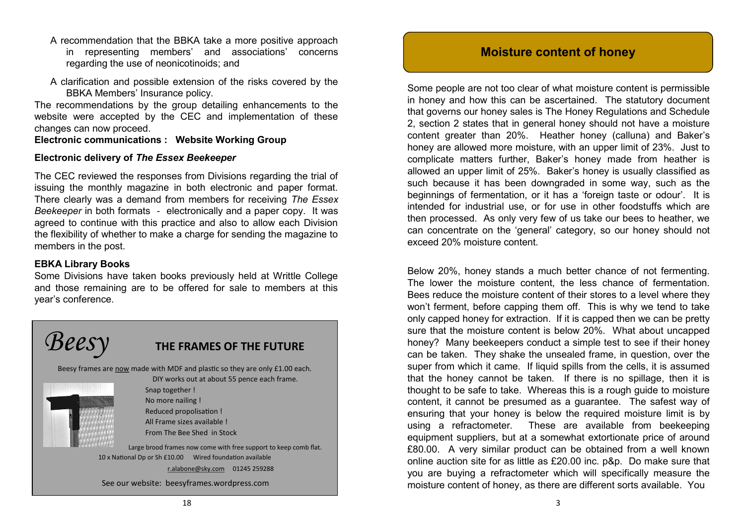- A recommendation that the BBKA take a more positive approach in representing members' and associations' concerns regarding the use of neonicotinoids; and
- A clarification and possible extension of the risks covered by the BBKA Members' Insurance policy.

The recommendations by the group detailing enhancements to the website were accepted by the CEC and implementation of these changes can now proceed.

#### **Electronic communications : Website Working Group**

#### **Electronic delivery of** *The Essex Beekeeper*

The CEC reviewed the responses from Divisions regarding the trial of issuing the monthly magazine in both electronic and paper format. There clearly was a demand from members for receiving *The Essex Beekeeper* in both formats - electronically and a paper copy. It was agreed to continue with this practice and also to allow each Division the flexibility of whether to make a charge for sending the magazine to members in the post.

#### **EBKA Library Books**

Some Divisions have taken books previously held at Writtle College and those remaining are to be offered for sale to members at this year's conference.



#### **Moisture content of honey**

Some people are not too clear of what moisture content is permissible in honey and how this can be ascertained. The statutory document that governs our honey sales is The Honey Regulations and Schedule 2, section 2 states that in general honey should not have a moisture content greater than 20%. Heather honey (calluna) and Baker's honey are allowed more moisture, with an upper limit of 23%. Just to complicate matters further, Baker's honey made from heather is allowed an upper limit of 25%. Baker's honey is usually classified as such because it has been downgraded in some way, such as the beginnings of fermentation, or it has a 'foreign taste or odour'. It is intended for industrial use, or for use in other foodstuffs which are then processed. As only very few of us take our bees to heather, we can concentrate on the 'general' category, so our honey should not exceed 20% moisture content.

Below 20%, honey stands a much better chance of not fermenting. The lower the moisture content, the less chance of fermentation. Bees reduce the moisture content of their stores to a level where they won't ferment, before capping them off. This is why we tend to take only capped honey for extraction. If it is capped then we can be pretty sure that the moisture content is below 20%. What about uncapped honey? Many beekeepers conduct a simple test to see if their honey can be taken. They shake the unsealed frame, in question, over the super from which it came. If liquid spills from the cells, it is assumed that the honey cannot be taken. If there is no spillage, then it is thought to be safe to take. Whereas this is a rough guide to moisture content, it cannot be presumed as a guarantee. The safest way of ensuring that your honey is below the required moisture limit is by using a refractometer. These are available from beekeeping equipment suppliers, but at a somewhat extortionate price of around £80.00. A very similar product can be obtained from a well known online auction site for as little as £20.00 inc. p&p. Do make sure that you are buying a refractometer which will specifically measure the moisture content of honey, as there are different sorts available. You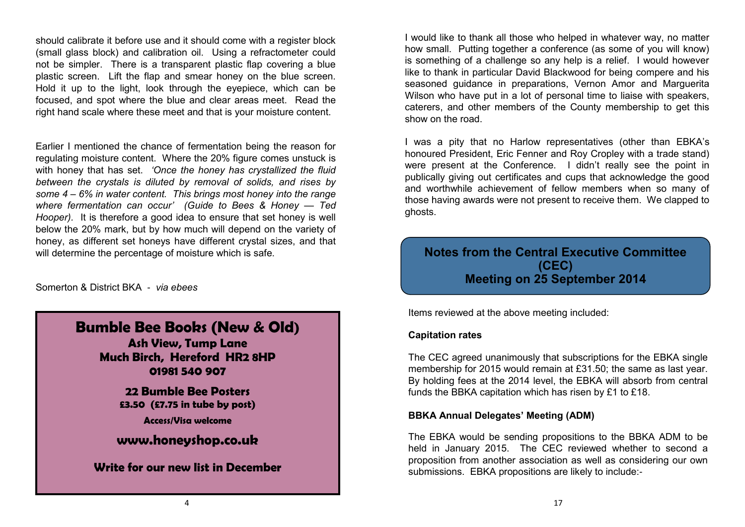should calibrate it before use and it should come with a register block (small glass block) and calibration oil. Using a refractometer could not be simpler. There is a transparent plastic flap covering a blue plastic screen. Lift the flap and smear honey on the blue screen. Hold it up to the light, look through the eyepiece, which can be focused, and spot where the blue and clear areas meet. Read the right hand scale where these meet and that is your moisture content.

Earlier I mentioned the chance of fermentation being the reason for regulating moisture content. Where the 20% figure comes unstuck is with honey that has set. *'Once the honey has crystallized the fluid between the crystals is diluted by removal of solids, and rises by some 4 – 6% in water content. This brings most honey into the range where fermentation can occur' (Guide to Bees & Honey — Ted Hooper).* It is therefore a good idea to ensure that set honey is well below the 20% mark, but by how much will depend on the variety of honey, as different set honeys have different crystal sizes, and that will determine the percentage of moisture which is safe.

Somerton & District BKA - *via ebees*

### **Bumble Bee Books (New & Old)**

**Ash View, Tump Lane Much Birch, Hereford HR2 8HP 01981 540 907**

> **22 Bumble Bee Posters £3.50 (£7.75 in tube by post)**

> > **Access/Visa welcome**

**[www.honeyshop.co.uk](http://www.honeyshop.co.uk)**

**Write for our new list in December**

I would like to thank all those who helped in whatever way, no matter how small. Putting together a conference (as some of you will know) is something of a challenge so any help is a relief. I would however like to thank in particular David Blackwood for being compere and his seasoned guidance in preparations, Vernon Amor and Marguerita Wilson who have put in a lot of personal time to liaise with speakers, caterers, and other members of the County membership to get this show on the road.

I was a pity that no Harlow representatives (other than EBKA's honoured President, Eric Fenner and Roy Cropley with a trade stand) were present at the Conference. I didn't really see the point in publically giving out certificates and cups that acknowledge the good and worthwhile achievement of fellow members when so many of those having awards were not present to receive them. We clapped to ghosts.

### **Notes from the Central Executive Committee (CEC) Meeting on 25 September 2014**

Items reviewed at the above meeting included:

#### **Capitation rates**

The CEC agreed unanimously that subscriptions for the EBKA single membership for 2015 would remain at £31.50; the same as last year. By holding fees at the 2014 level, the EBKA will absorb from central funds the BBKA capitation which has risen by £1 to £18.

#### **BBKA Annual Delegates' Meeting (ADM)**

The EBKA would be sending propositions to the BBKA ADM to be held in January 2015. The CEC reviewed whether to second a proposition from another association as well as considering our own submissions. EBKA propositions are likely to include:-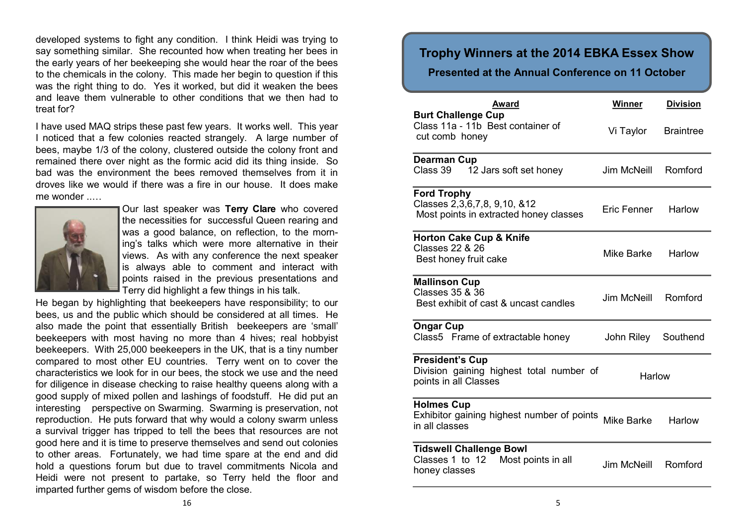developed systems to fight any condition. I think Heidi was trying to say something similar. She recounted how when treating her bees in the early years of her beekeeping she would hear the roar of the bees to the chemicals in the colony. This made her begin to question if this was the right thing to do. Yes it worked, but did it weaken the bees and leave them vulnerable to other conditions that we then had to treat for?

I have used MAQ strips these past few years. It works well. This year I noticed that a few colonies reacted strangely. A large number of bees, maybe 1/3 of the colony, clustered outside the colony front and remained there over night as the formic acid did its thing inside. So bad was the environment the bees removed themselves from it in droves like we would if there was a fire in our house. It does make me wonder



Our last speaker was **Terry Clare** who covered the necessities for successful Queen rearing and was a good balance, on reflection, to the morning's talks which were more alternative in their views. As with any conference the next speaker is always able to comment and interact with points raised in the previous presentations and Terry did highlight a few things in his talk.

He began by highlighting that beekeepers have responsibility; to our bees, us and the public which should be considered at all times. He also made the point that essentially British beekeepers are 'small' beekeepers with most having no more than 4 hives; real hobbyist beekeepers. With 25,000 beekeepers in the UK, that is a tiny number compared to most other EU countries. Terry went on to cover the characteristics we look for in our bees, the stock we use and the need for diligence in disease checking to raise healthy queens along with a good supply of mixed pollen and lashings of foodstuff. He did put an interesting perspective on Swarming. Swarming is preservation, not reproduction. He puts forward that why would a colony swarm unless a survival trigger has tripped to tell the bees that resources are not good here and it is time to preserve themselves and send out colonies to other areas. Fortunately, we had time spare at the end and did hold a questions forum but due to travel commitments Nicola and Heidi were not present to partake, so Terry held the floor and imparted further gems of wisdom before the close.

#### **Trophy Winners at the 2014 EBKA Essex Show**

#### **Presented at the Annual Conference on 11 October**

| <b>Award</b>                                                                                       | Winner      | <b>Division</b>  |
|----------------------------------------------------------------------------------------------------|-------------|------------------|
| <b>Burt Challenge Cup</b><br>Class 11a - 11b Best container of<br>cut comb honey                   | Vi Taylor   | <b>Braintree</b> |
| <b>Dearman Cup</b><br>Class 39<br>12 Jars soft set honey                                           | Jim McNeill | Romford          |
| <b>Ford Trophy</b><br>Classes 2, 3, 6, 7, 8, 9, 10, & 12<br>Most points in extracted honey classes | Eric Fenner | Harlow           |
| <b>Horton Cake Cup &amp; Knife</b><br><b>Classes 22 &amp; 26</b><br>Best honey fruit cake          | Mike Barke  | Harlow           |
| <b>Mallinson Cup</b><br>Classes 35 & 36<br>Best exhibit of cast & uncast candles                   | Jim McNeill | Romford          |
| <b>Ongar Cup</b><br>Class5 Frame of extractable honey                                              | John Riley  | Southend         |
| <b>President's Cup</b><br>Division gaining highest total number of<br>points in all Classes        | Harlow      |                  |
| <b>Holmes Cup</b><br>Exhibitor gaining highest number of points<br>in all classes                  | Mike Barke  | Harlow           |
| <b>Tidswell Challenge Bowl</b><br>Most points in all<br>Classes 1 to 12<br>honey classes           | Jim McNeill | Romford          |
|                                                                                                    |             |                  |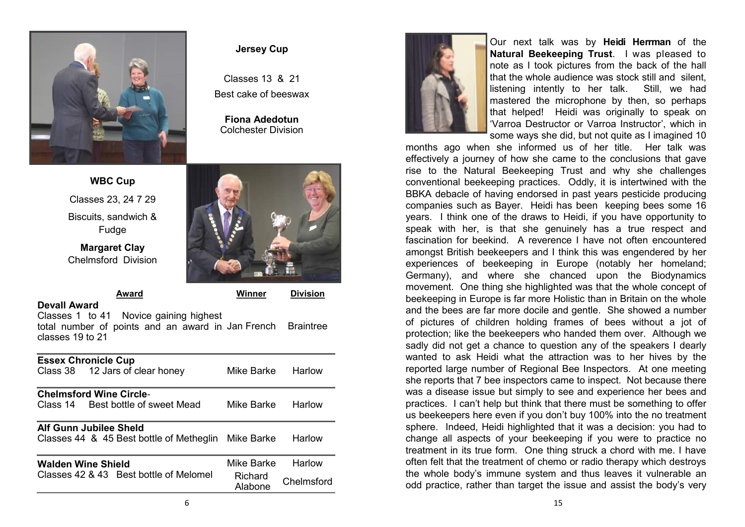

#### **Jersey Cup**

Classes 13 & 21 Best cake of beeswax

**Fiona Adedotun** Colchester Division



**Margaret Clay** Chelmsford Division



**Award Winner Division Devall Award** 

Classes 1 to 41 Novice gaining highest total number of points and an award in Jan French Braintree classes 19 to 21

|                    | <b>Essex Chronicle Cup</b><br>Class 38 12 Jars of clear honey                 | Mike Barke         | Harlow     |
|--------------------|-------------------------------------------------------------------------------|--------------------|------------|
|                    | <b>Chelmsford Wine Circle-</b>                                                |                    |            |
|                    | Class 14 Best bottle of sweet Mead                                            | Mike Barke         | Harlow     |
|                    | Alf Gunn Jubilee Sheld<br>Classes 44 & 45 Best bottle of Metheglin Mike Barke |                    | Harlow     |
| Walden Wine Shield |                                                                               | Mike Barke         | Harlow     |
|                    | Classes 42 & 43 Best bottle of Melomel                                        | Richard<br>Alabone | Chelmsford |



Our next talk was by **Heidi Herrman** of the **Natural Beekeeping Trust**. I was pleased to note as I took pictures from the back of the hall that the whole audience was stock still and silent, listening intently to her talk. Still, we had mastered the microphone by then, so perhaps that helped! Heidi was originally to speak on 'Varroa Destructor or Varroa Instructor', which in some ways she did, but not quite as I imagined 10

months ago when she informed us of her title. Her talk was effectively a journey of how she came to the conclusions that gave rise to the Natural Beekeeping Trust and why she challenges conventional beekeeping practices. Oddly, it is intertwined with the BBKA debacle of having endorsed in past years pesticide producing companies such as Bayer. Heidi has been keeping bees some 16 years. I think one of the draws to Heidi, if you have opportunity to speak with her, is that she genuinely has a true respect and fascination for beekind. A reverence I have not often encountered amongst British beekeepers and I think this was engendered by her experiences of beekeeping in Europe (notably her homeland; Germany), and where she chanced upon the Biodynamics movement. One thing she highlighted was that the whole concept of beekeeping in Europe is far more Holistic than in Britain on the whole and the bees are far more docile and gentle. She showed a number of pictures of children holding frames of bees without a jot of protection; like the beekeepers who handed them over. Although we sadly did not get a chance to question any of the speakers I dearly wanted to ask Heidi what the attraction was to her hives by the reported large number of Regional Bee Inspectors. At one meeting she reports that 7 bee inspectors came to inspect. Not because there was a disease issue but simply to see and experience her bees and practices. I can't help but think that there must be something to offer us beekeepers here even if you don't buy 100% into the no treatment sphere. Indeed, Heidi highlighted that it was a decision: you had to change all aspects of your beekeeping if you were to practice no treatment in its true form. One thing struck a chord with me. I have often felt that the treatment of chemo or radio therapy which destroys the whole body's immune system and thus leaves it vulnerable an odd practice, rather than target the issue and assist the body's very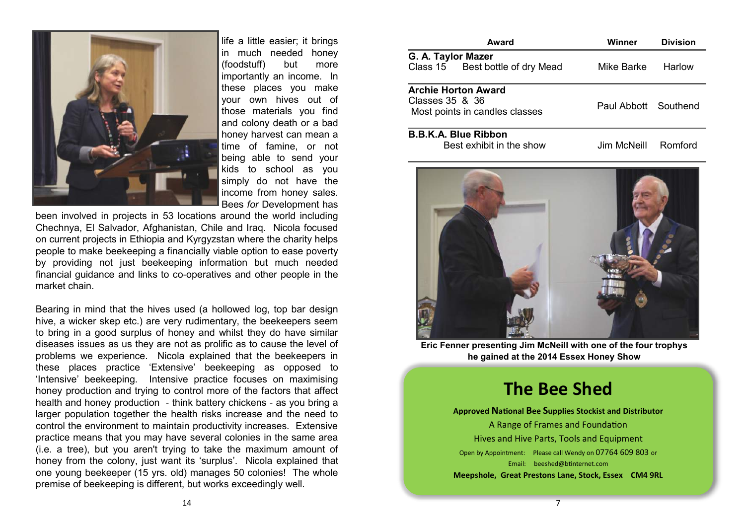

life a little easier; it brings in much needed honey (foodstuff) but more importantly an income. In these places you make your own hives out of those materials you find and colony death or a bad honey harvest can mean a time of famine, or not being able to send your kids to school as you simply do not have the income from honey sales. Bees *for* Development has

been involved in projects in 53 locations around the world including Chechnya, El Salvador, Afghanistan, Chile and Iraq. Nicola focused on current projects in Ethiopia and Kyrgyzstan where the charity helps people to make beekeeping a financially viable option to ease poverty by providing not just beekeeping information but much needed financial guidance and links to co-operatives and other people in the market chain.

Bearing in mind that the hives used (a hollowed log, top bar design hive, a wicker skep etc.) are very rudimentary, the beekeepers seem to bring in a good surplus of honey and whilst they do have similar diseases issues as us they are not as prolific as to cause the level of problems we experience. Nicola explained that the beekeepers in these places practice 'Extensive' beekeeping as opposed to 'Intensive' beekeeping. Intensive practice focuses on maximising honey production and trying to control more of the factors that affect health and honey production - think battery chickens - as you bring a larger population together the health risks increase and the need to control the environment to maintain productivity increases. Extensive practice means that you may have several colonies in the same area (i.e. a tree), but you aren't trying to take the maximum amount of honey from the colony, just want its 'surplus'. Nicola explained that one young beekeeper (15 yrs. old) manages 50 colonies! The whole premise of beekeeping is different, but works exceedingly well.

|                    | Award                                                        | Winner               | <b>Division</b> |
|--------------------|--------------------------------------------------------------|----------------------|-----------------|
| G. A. Taylor Mazer | Class 15 Best bottle of dry Mead                             | Mike Barke           | Harlow          |
| Classes 35 & 36    | <b>Archie Horton Award</b><br>Most points in candles classes | Paul Abbott Southend |                 |
|                    | <b>B.B.K.A. Blue Ribbon</b><br>Best exhibit in the show      | Jim McNeill          | Romford         |



**Eric Fenner presenting Jim McNeill with one of the four trophys he gained at the 2014 Essex Honey Show** 

## **The Bee Shed**

**Approved National Bee Supplies Stockist and Distributor** A Range of Frames and Foundation Hives and Hive Parts, Tools and Equipment Open by Appointment: Please call Wendy on 07764 609 803 or Email: [beeshed@btinternet.com](mailto:beeshed@btinternet.com) **Meepshole, Great Prestons Lane, Stock, Essex CM4 9RL**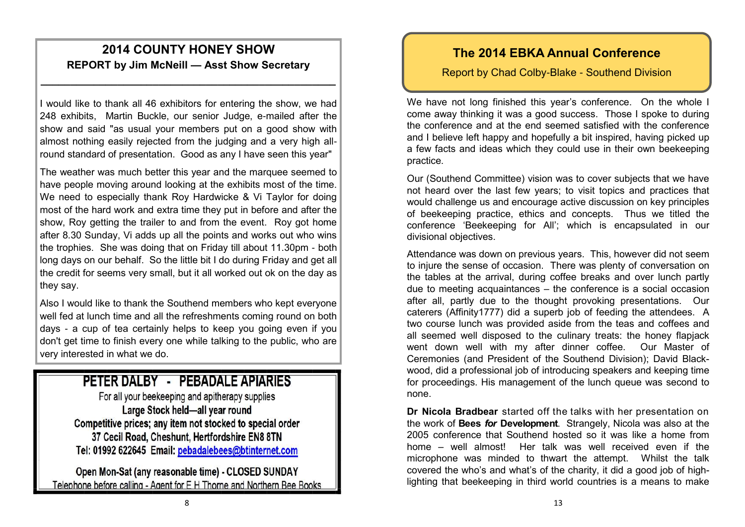### **2014 COUNTY HONEY SHOW REPORT by Jim McNeill — Asst Show Secretary**

**\_\_\_\_\_\_\_\_\_\_\_\_\_\_\_\_\_\_\_\_\_\_\_\_\_\_\_\_\_\_\_\_\_\_\_\_\_\_\_\_\_\_\_\_\_\_\_\_\_\_**

I would like to thank all 46 exhibitors for entering the show, we had 248 exhibits, Martin Buckle, our senior Judge, e-mailed after the show and said "as usual your members put on a good show with almost nothing easily rejected from the judging and a very high allround standard of presentation. Good as any I have seen this year"

The weather was much better this year and the marquee seemed to have people moving around looking at the exhibits most of the time. We need to especially thank Roy Hardwicke & Vi Taylor for doing most of the hard work and extra time they put in before and after the show, Roy getting the trailer to and from the event. Roy got home after 8.30 Sunday, Vi adds up all the points and works out who wins the trophies. She was doing that on Friday till about 11.30pm - both long days on our behalf. So the little bit I do during Friday and get all the credit for seems very small, but it all worked out ok on the day as they say.

Also I would like to thank the Southend members who kept everyone well fed at lunch time and all the refreshments coming round on both days - a cup of tea certainly helps to keep you going even if you don't get time to finish every one while talking to the public, who are very interested in what we do.

### PETER DALBY - PEBADALE APIARIES

For all your beekeeping and apitherapy supplies Large Stock held-all year round Competitive prices; any item not stocked to special order 37 Cecil Road, Cheshunt, Hertfordshire EN8 8TN Tel: 01992 622645 Email: pebadalebees@btinternet.com

Open Mon-Sat (any reasonable time) - CLOSED SUNDAY Telephone before calling - Agent for E H Thorne and Northern Bee Books

### **The 2014 EBKA Annual Conference**

#### Report by Chad Colby-Blake - Southend Division

We have not long finished this year's conference. On the whole I come away thinking it was a good success. Those I spoke to during the conference and at the end seemed satisfied with the conference and I believe left happy and hopefully a bit inspired, having picked up a few facts and ideas which they could use in their own beekeeping practice.

Our (Southend Committee) vision was to cover subjects that we have not heard over the last few years; to visit topics and practices that would challenge us and encourage active discussion on key principles of beekeeping practice, ethics and concepts. Thus we titled the conference 'Beekeeping for All'; which is encapsulated in our divisional objectives.

Attendance was down on previous years. This, however did not seem to injure the sense of occasion. There was plenty of conversation on the tables at the arrival, during coffee breaks and over lunch partly due to meeting acquaintances – the conference is a social occasion after all, partly due to the thought provoking presentations. Our caterers (Affinity1777) did a superb job of feeding the attendees. A two course lunch was provided aside from the teas and coffees and all seemed well disposed to the culinary treats: the honey flapjack went down well with my after dinner coffee. Our Master of Ceremonies (and President of the Southend Division); David Blackwood, did a professional job of introducing speakers and keeping time for proceedings. His management of the lunch queue was second to none.

**Dr Nicola Bradbear** started off the talks with her presentation on the work of **Bees** *for* **Development**. Strangely, Nicola was also at the 2005 conference that Southend hosted so it was like a home from home – well almost! Her talk was well received even if the microphone was minded to thwart the attempt. Whilst the talk covered the who's and what's of the charity, it did a good job of highlighting that beekeeping in third world countries is a means to make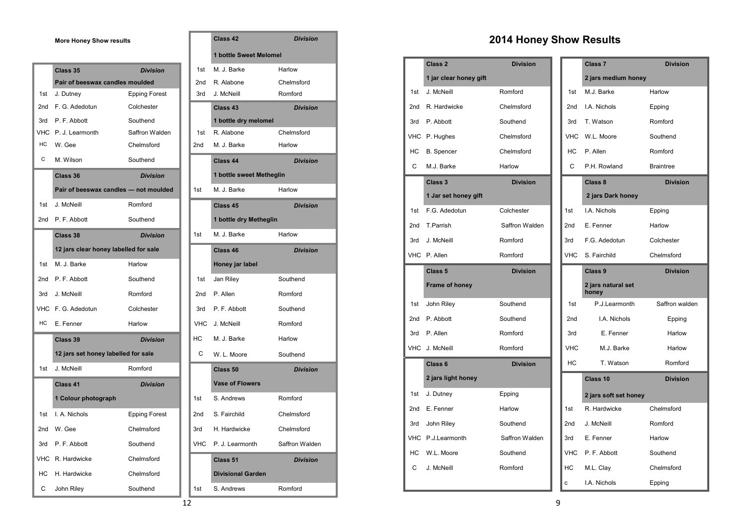**More Honey Show results** 

|            | Class 35                              | <b>Division</b>      | 1st             | M. J. Barke              | Harlow          |
|------------|---------------------------------------|----------------------|-----------------|--------------------------|-----------------|
|            | Pair of beeswax candles moulded       |                      | 2nd             | R. Alabone               | Chelmsford      |
| 1st        | J. Dutney                             | <b>Epping Forest</b> | 3rd             | J. McNeill               | Romford         |
| 2nd        | F. G. Adedotun                        | Colchester           |                 | Class 43                 | <b>Division</b> |
| 3rd        | P. F. Abbott                          | Southend             |                 | 1 bottle dry melomel     |                 |
| <b>VHC</b> | P. J. Learmonth                       | Saffron Walden       | 1st             | R. Alabone               | Chelmsford      |
| HC         | W. Gee                                | Chelmsford           | 2nd             | M. J. Barke              | Harlow          |
| С          | M. Wilson                             | Southend             |                 | Class 44                 | <b>Division</b> |
|            | Class 36                              | <b>Division</b>      |                 | 1 bottle sweet Metheglin |                 |
|            | Pair of beeswax candles - not moulded |                      | 1st             | M. J. Barke              | Harlow          |
| 1st        | J. McNeill                            | Romford              |                 | Class 45                 | <b>Division</b> |
| 2nd        | P. F. Abbott                          | Southend             |                 | 1 bottle dry Metheglin   |                 |
|            | Class 38                              | <b>Division</b>      | 1st             | M. J. Barke              | Harlow          |
|            | 12 jars clear honey labelled for sale |                      |                 | Class 46                 | <b>Division</b> |
| 1st        | M. J. Barke                           | Harlow               |                 | Honey jar label          |                 |
| 2nd        | P. F. Abbott                          | Southend             | 1st             | Jan Riley                | Southend        |
| 3rd        | J. McNeill                            | Romford              | 2nd             | P. Allen                 | Romford         |
|            | VHC F. G. Adedotun                    | Colchester           | 3rd             | P. F. Abbott             | Southend        |
| HC         | E. Fenner                             | Harlow               | <b>VHC</b>      | J. McNeill               | Romford         |
|            | Class 39                              | <b>Division</b>      | HC              | M. J. Barke              | Harlow          |
|            | 12 jars set honey labelled for sale   |                      | C               | W. L. Moore              | Southend        |
| 1st        | J. McNeill                            | Romford              |                 | Class <sub>50</sub>      | <b>Division</b> |
|            | Class 41                              | <b>Division</b>      |                 | <b>Vase of Flowers</b>   |                 |
|            | 1 Colour photograph                   |                      | 1st             | S. Andrews               | Romford         |
| 1st        | I. A. Nichols                         | <b>Epping Forest</b> | 2 <sub>nd</sub> | S. Fairchild             | Chelmsford      |
| 2nd        | W. Gee                                | Chelmsford           | 3rd             | H. Hardwicke             | Chelmsford      |
| 3rd        | P. F. Abbott                          | Southend             | <b>VHC</b>      | P. J. Learmonth          | Saffron Walden  |
|            | VHC R. Hardwicke                      | Chelmsford           |                 | Class 51                 | <b>Division</b> |
| HC         | H. Hardwicke                          | Chelmsford           |                 | <b>Divisional Garden</b> |                 |
| С          | John Riley                            | Southend             | 1st             | S. Andrews               | Romford         |

|     | Class 42                 | <b>Division</b> |
|-----|--------------------------|-----------------|
|     | 1 bottle Sweet Melomel   |                 |
| 1st | M. J. Barke              | Harlow          |
| 2nd | R. Alabone               | Chelmsford      |
| 3rd | J. McNeill               | Romford         |
|     | Class 43                 | <b>Division</b> |
|     | 1 bottle dry melomel     |                 |
| 1st | R. Alabone               | Chelmsford      |
| 2nd | M. J. Barke              | Harlow          |
|     | Class 44                 | <b>Division</b> |
|     | 1 bottle sweet Metheglin |                 |
| 1st | M. J. Barke              | Harlow          |
|     | Class 45                 | <b>Division</b> |
|     | 1 bottle dry Metheglin   |                 |
| 1st | M. J. Barke              | Harlow          |
|     | Class 46                 | <b>Division</b> |
|     | Honey jar label          |                 |
| 1st | Jan Riley                | Southend        |
| 2nd | P. Allen                 | Romford         |
| 3rd | P. F. Abbott             | Southend        |
| VHC | J. McNeill               | Romford         |
| ЧC  | M. J. Barke              | Harlow          |
| C   | W. L. Moore              | Southend        |
|     | Class <sub>50</sub>      | <b>Division</b> |
|     | <b>Vase of Flowers</b>   |                 |
| 1st | S. Andrews               | Romford         |
| 2nd | S. Fairchild             | Chelmsford      |
| 3rd | H. Hardwicke             | Chelmsford      |
| √НС | P. J. Learmonth          | Saffron Walden  |
|     | Class 51                 | <b>Division</b> |
|     | <b>Divisional Garden</b> |                 |
| 1st | S. Andrews               | Romford         |

### **2014 Honey Show Results**

|            | Class 2                | <b>Division</b> |            | Class <sub>7</sub>          | <b>Division</b>  |
|------------|------------------------|-----------------|------------|-----------------------------|------------------|
|            | 1 jar clear honey gift |                 |            | 2 jars medium honey         |                  |
| 1st        | J. McNeill             | Romford         | 1st        | M.J. Barke                  | Harlow           |
| 2nd        | R. Hardwicke           | Chelmsford      | 2nd        | I.A. Nichols                | Epping           |
| 3rd        | P. Abbott              | Southend        | 3rd        | T. Watson                   | Romford          |
| VHC        | P. Hughes              | Chelmsford      | <b>VHC</b> | W.L. Moore                  | Southend         |
| HC         | <b>B.</b> Spencer      | Chelmsford      | HC         | P. Allen                    | Romford          |
| C          | M.J. Barke             | Harlow          | C          | P.H. Rowland                | <b>Braintree</b> |
|            | Class 3                | <b>Division</b> |            | Class 8                     | <b>Division</b>  |
|            | 1 Jar set honey gift   |                 |            | 2 jars Dark honey           |                  |
| 1st        | F.G. Adedotun          | Colchester      | 1st        | I.A. Nichols                | Epping           |
| 2nd        | T.Parrish              | Saffron Walden  | 2nd        | E. Fenner                   | Harlow           |
| 3rd        | J. McNeill             | Romford         | 3rd        | F.G. Adedotun               | Colchester       |
|            | VHC P. Allen           | Romford         | <b>VHC</b> | S. Fairchild                | Chelmsford       |
|            | Class <sub>5</sub>     | <b>Division</b> |            | Class 9                     | <b>Division</b>  |
|            | Frame of honey         |                 |            | 2 jars natural set<br>honey |                  |
| 1st        | John Riley             | Southend        | 1st        | P.J.Learmonth               | Saffron walden   |
| 2nd        | P. Abbott              | Southend        | 2nd        | I.A. Nichols                | Epping           |
| 3rd        | P. Allen               | Romford         | 3rd        | E. Fenner                   | Harlow           |
| <b>VHC</b> | J. McNeill             | Romford         | <b>VHC</b> | M.J. Barke                  | Harlow           |
|            | Class <sub>6</sub>     | <b>Division</b> | HC         | T. Watson                   | Romford          |
|            | 2 jars light honey     |                 |            | Class 10                    | <b>Division</b>  |
| 1st        | J. Dutney              | Epping          |            | 2 jars soft set honey       |                  |
| 2nd        | E. Fenner              | Harlow          | 1st        | R. Hardwicke                | Chelmsford       |
| 3rd        | John Riley             | Southend        | 2nd        | J. McNeill                  | Romford          |
| <b>VHC</b> | P.J.Learmonth          | Saffron Walden  | 3rd        | E. Fenner                   | Harlow           |
| HC         | W.L. Moore             | Southend        | <b>VHC</b> | P. F. Abbott                | Southend         |
| С          | J. McNeill             | Romford         | НC         | M.L. Clay                   | Chelmsford       |
|            |                        |                 |            | <b>IA</b> Michale           | <b>Fasian</b>    |

|            | Class <sub>7</sub>          | <b>Division</b>  |
|------------|-----------------------------|------------------|
|            | 2 jars medium honey         |                  |
| 1st        | M.J. Barke                  | Harlow           |
| 2nd        | I.A. Nichols                | Epping           |
| 3rd        | T. Watson                   | Romford          |
| <b>VHC</b> | W.L. Moore                  | Southend         |
| НC         | P. Allen                    | Romford          |
| C          | P.H. Rowland                | <b>Braintree</b> |
|            | Class 8                     | <b>Division</b>  |
|            | 2 jars Dark honey           |                  |
| 1st        | I.A. Nichols                | Epping           |
| 2nd        | E. Fenner                   | Harlow           |
| 3rd        | F.G. Adedotun               | Colchester       |
| <b>VHC</b> | S. Fairchild                | Chelmsford       |
|            | Class 9                     | <b>Division</b>  |
|            | 2 jars natural set<br>honey |                  |
| 1st        | P.J.Learmonth               | Saffron walden   |
| 2nd        | I.A. Nichols                | Epping           |
| 3rd        | E. Fenner                   | Harlow           |
| <b>VHC</b> | M.J. Barke                  | Harlow           |
| HC         | T. Watson                   | Romford          |
|            | Class 10                    | <b>Division</b>  |
|            | 2 jars soft set honey       |                  |
| 1st        | R. Hardwicke                | Chelmsford       |
| 2nd        | J. McNeill                  | Romford          |
| 3rd        | E. Fenner                   | Harlow           |
| <b>VHC</b> | P. F. Abbott                | Southend         |
| НC         | M.L. Clay                   | Chelmsford       |
| c          | I.A. Nichols                | Epping           |